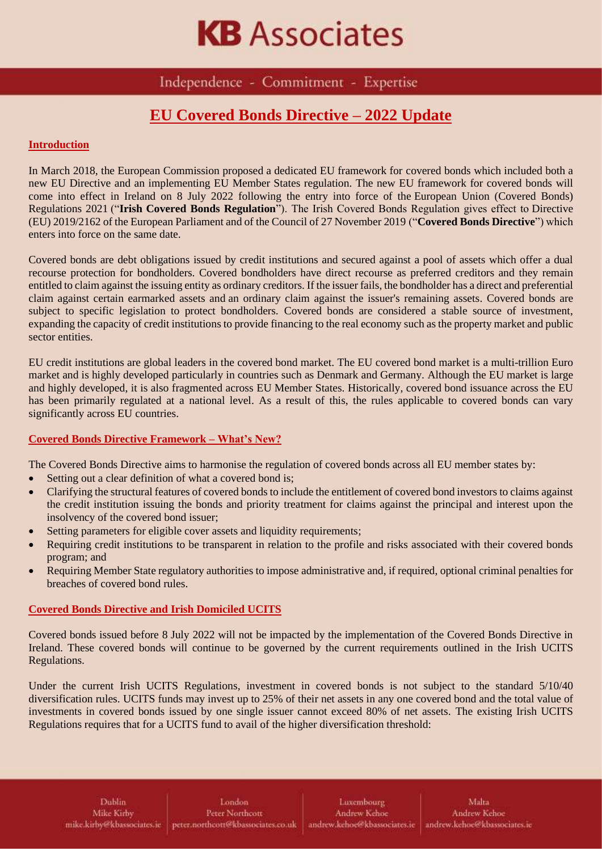## **KB** Associates

Independence - Commitment - Expertise

## **EU Covered Bonds Directive – 2022 Update**

#### **Introduction**

In March 2018, the European Commission proposed a dedicated EU framework for covered bonds which included both a new EU Directive and an implementing EU Member States regulation. The new EU framework for covered bonds will come into effect in Ireland on 8 July 2022 following the entry into force of the [European Union \(Covered Bonds\)](https://www.irishstatutebook.ie/eli/2021/si/576/made/en/print)  [Regulations](https://www.irishstatutebook.ie/eli/2021/si/576/made/en/print) 2021 ("**Irish Covered Bonds Regulation**"). The Irish Covered Bonds Regulation gives effect to [Directive](https://eur-lex.europa.eu/legal-content/EN/TXT/PDF/?uri=CELEX:32019L2162&from=EN)  [\(EU\) 2019/2162 of the European Parliament and of the Council of 27 November 2019](https://eur-lex.europa.eu/legal-content/EN/TXT/PDF/?uri=CELEX:32019L2162&from=EN) ("**Covered Bonds Directive**") which enters into force on the same date.

Covered bonds are debt obligations issued by credit institutions and secured against a pool of assets which offer a dual recourse protection for bondholders. Covered bondholders have direct recourse as preferred creditors and they remain entitled to claim against the issuing entity as ordinary creditors. If the issuer fails, the bondholder has a direct and preferential claim against certain earmarked assets and an ordinary claim against the issuer's remaining assets. Covered bonds are subject to specific legislation to protect bondholders. Covered bonds are considered a stable source of investment, expanding the capacity of credit institutions to provide financing to the real economy such as the property market and public sector entities.

EU credit institutions are global leaders in the covered bond market. The EU covered bond market is a multi-trillion Euro market and is highly developed particularly in countries such as Denmark and Germany. Although the EU market is large and highly developed, it is also fragmented across EU Member States. Historically, covered bond issuance across the EU has been primarily regulated at a national level. As a result of this, the rules applicable to covered bonds can vary significantly across EU countries.

#### **Covered Bonds Directive Framework – What's New?**

The Covered Bonds Directive aims to harmonise the regulation of covered bonds across all EU member states by:

- Setting out a clear definition of what a covered bond is;
- Clarifying the structural features of covered bonds to include the entitlement of covered bond investors to claims against the credit institution issuing the bonds and priority treatment for claims against the principal and interest upon the insolvency of the covered bond issuer;
- Setting parameters for eligible cover assets and liquidity requirements;
- Requiring credit institutions to be transparent in relation to the profile and risks associated with their covered bonds program; and
- Requiring Member State regulatory authorities to impose administrative and, if required, optional criminal penalties for breaches of covered bond rules.

#### **Covered Bonds Directive and Irish Domiciled UCITS**

Covered bonds issued before 8 July 2022 will not be impacted by the implementation of the Covered Bonds Directive in Ireland. These covered bonds will continue to be governed by the current requirements outlined in the Irish UCITS Regulations.

Under the current Irish UCITS Regulations, investment in covered bonds is not subject to the standard 5/10/40 diversification rules. UCITS funds may invest up to 25% of their net assets in any one covered bond and the total value of investments in covered bonds issued by one single issuer cannot exceed 80% of net assets. The existing Irish UCITS Regulations requires that for a UCITS fund to avail of the higher diversification threshold: